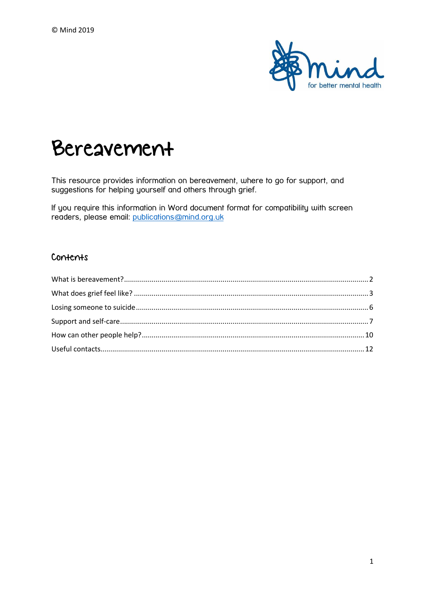

# Bereavement

This resource provides information on bereavement, where to go for support, and suggestions for helping yourself and others through grief.

If you require this information in Word document format for compatibility with screen readers, please email: [publications@mind.org.uk](mailto:publications@mind.org.uk)

## Contents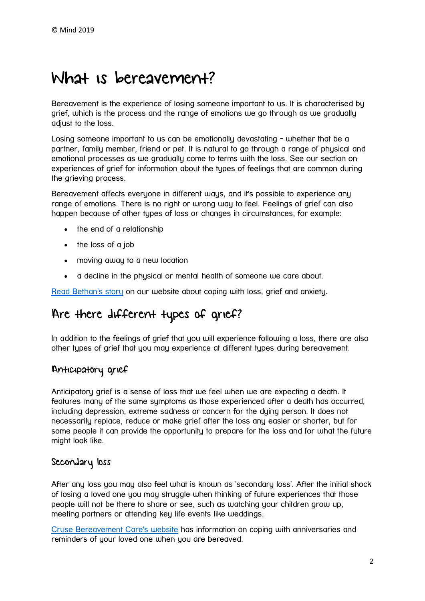# <span id="page-1-0"></span>What is bereavement?

Bereavement is the experience of losing someone important to us. It is characterised by grief, which is the process and the range of emotions we go through as we gradually adiust to the loss.

Losing someone important to us can be emotionally devastating - whether that be a partner, family member, friend or pet. It is natural to go through a range of physical and emotional processes as we gradually come to terms with the loss. See our section on experiences of grief for information about the types of feelings that are common during the grieving process.

Bereavement affects everyone in different ways, and it's possible to experience any range of emotions. There is no right or wrong way to feel. Feelings of grief can also happen because of other types of loss or changes in circumstances, for example:

- the end of a relationship
- the loss of a job
- moving away to a new location
- a decline in the physical or mental health of someone we care about.

[Read Bethan's story](https://www.mind.org.uk/information-support/your-stories/loss-and-anxiety/#.XS3cOOhKjIV) on our website about coping with loss, grief and anxiety.

# Are there different types of grief?

In addition to the feelings of grief that you will experience following a loss, there are also other types of grief that you may experience at different types during bereavement.

# Anticipatory grief

Anticipatory grief is a sense of loss that we feel when we are expecting a death. It features many of the same symptoms as those experienced after a death has occurred, including depression, extreme sadness or concern for the dying person. It does not necessarily replace, reduce or make grief after the loss any easier or shorter, but for some people it can provide the opportunity to prepare for the loss and for what the future might look like.

## Secondary loss

After any loss you may also feel what is known as 'secondary loss'. After the initial shock of losing a loved one you may struggle when thinking of future experiences that those people will not be there to share or see, such as watching your children grow up, meeting partners or attending key life events like weddings.

[Cruse Bereavement Care's website](https://www.cruse.org.uk/get-help/about-grief/anniversaries-and-reminders-when-you-are-bereaved) has information on coping with anniversaries and reminders of your loved one when you are bereaved.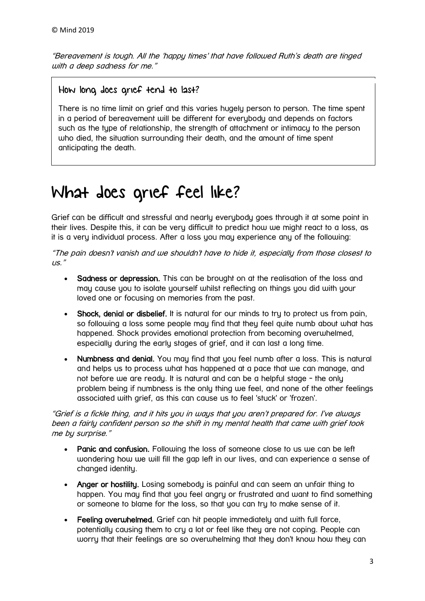"Bereavement is tough. All the 'happy times' that have followed Ruth's death are tinged with a deep sadness for me."

## How long does grief tend to last?

There is no time limit on grief and this varies hugely person to person. The time spent in a period of bereavement will be different for everybody and depends on factors such as the type of relationship, the strength of attachment or intimacy to the person who died, the situation surrounding their death, and the amount of time spent anticipating the death.

# <span id="page-2-0"></span>What does grief feel like?

Grief can be difficult and stressful and nearly everybody goes through it at some point in their lives. Despite this, it can be very difficult to predict how we might react to a loss, as it is a very individual process. After a loss you may experience any of the following:

"The pain doesn't vanish and we shouldn't have to hide it, especially from those closest to  $115.$ "

- Sadness or depression. This can be brought on at the realisation of the loss and may cause you to isolate yourself whilst reflecting on things you did with your loved one or focusing on memories from the past.
- Shock, denial or disbelief, It is natural for our minds to tru to protect us from pain, so following a loss some people may find that they feel quite numb about what has happened. Shock provides emotional protection from becoming overwhelmed, especially during the early stages of grief, and it can last a long time.
- Numbness and denial. You may find that you feel numb after a loss. This is natural and helps us to process what has happened at a pace that we can manage, and not before we are ready. It is natural and can be a helpful stage - the only problem being if numbness is the only thing we feel, and none of the other feelings associated with grief, as this can cause us to feel 'stuck' or 'frozen'.

"Grief is a fickle thing, and it hits you in ways that you aren't prepared for. I've always been a fairly confident person so the shift in my mental health that came with grief took me by surprise."

- Panic and confusion. Following the loss of someone close to us we can be left wondering how we will fill the gap left in our lives, and can experience a sense of changed identity.
- Anger or hostility. Losing somebody is painful and can seem an unfair thing to happen. You may find that you feel angry or frustrated and want to find something or someone to blame for the loss, so that you can try to make sense of it.
- Feeling overwhelmed. Grief can hit people immediately and with full force, potentially causing them to cry a lot or feel like they are not coping. People can worry that their feelings are so overwhelming that they don't know how they can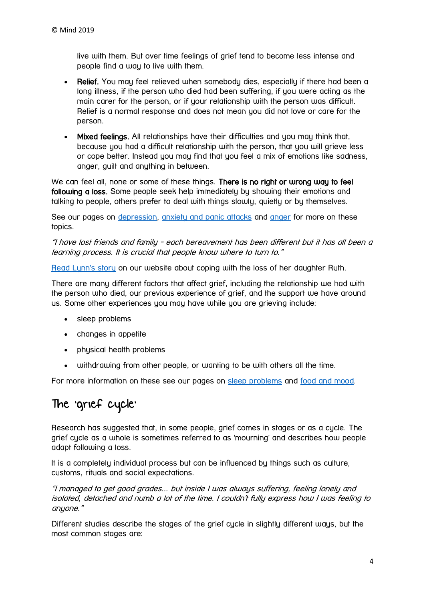live with them. But over time feelings of grief tend to become less intense and people find a way to live with them.

- Relief. You may feel relieved when somebody dies, especially if there had been a long illness, if the person who died had been suffering, if you were acting as the main carer for the person, or if your relationship with the person was difficult. Relief is a normal response and does not mean you did not love or care for the person.
- Mixed feelings. All relationships have their difficulties and you may think that, because you had a difficult relationship with the person, that you will grieve less or cope better. Instead you may find that you feel a mix of emotions like sadness, anger, guilt and anything in between.

We can feel all, none or some of these things. There is no right or wrong way to feel following a loss. Some people seek help immediately by showing their emotions and talking to people, others prefer to deal with things slowly, quietly or by themselves.

See our pages on [depression,](https://www.mind.org.uk/information-support/types-of-mental-health-problems/depression/#.XIp6lMn7TIU) [anxiety and panic attacks](https://www.mind.org.uk/information-support/types-of-mental-health-problems/anxiety-and-panic-attacks/#.XIp6pcn7TIU) and [anger](https://www.mind.org.uk/information-support/types-of-mental-health-problems/anger/#.XS3mkuhKjIU) for more on these topics.

"I have lost friends and family - each bereavement has been different but it has all been a learning process. It is crucial that people know where to turn to."

[Read Lynn's story](https://www.mind.org.uk/information-support/your-stories/christmas-isn-t-the-same-without-ruth/#comments) on our website about coping with the loss of her daughter Ruth.

There are many different factors that affect grief, including the relationship we had with the person who died, our previous experience of grief, and the support we have around us. Some other experiences you may have while you are grieving include:

- sleep problems
- changes in appetite
- physical health problems
- withdrawing from other people, or wanting to be with others all the time.

For more information on these see our pages on [sleep problems](https://www.mind.org.uk/information-support/types-of-mental-health-problems/sleep-problems/#.XS3qHuhKjIU) and [food and mood.](https://www.mind.org.uk/information-support/tips-for-everyday-living/food-and-mood/#.XS3qSuhKjIU)

# The 'grief cycle'

Research has suggested that, in some people, grief comes in stages or as a cycle. The grief cycle as a whole is sometimes referred to as 'mourning' and describes how people adapt following a loss.

It is a completely individual process but can be influenced by things such as culture, customs, rituals and social expectations.

"I managed to get good grades... but inside I was always suffering, feeling lonely and isolated, detached and numb a lot of the time. I couldn't fully express how I was feeling to anyone."

Different studies describe the stages of the grief cycle in slightly different ways, but the most common stages are: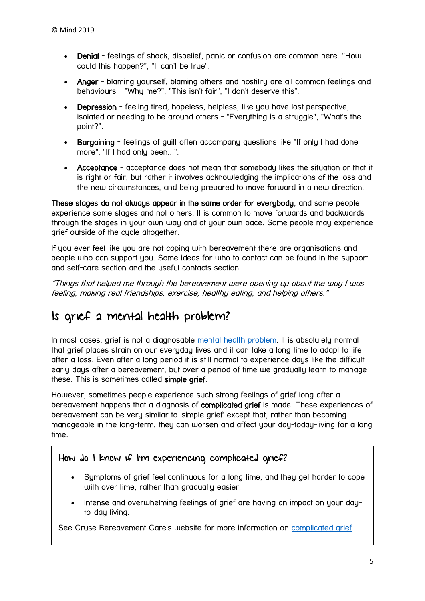- Denial feelings of shock, disbelief, panic or confusion are common here. "How could this happen?", "It can't be true".
- Anger blaming yourself, blaming others and hostility are all common feelings and behaviours - "Why me?", "This isn't fair", "I don't deserve this".
- Depression feeling tired, hopeless, helpless, like you have lost perspective, isolated or needing to be around others - "Everything is a struggle", "What's the point?".
- Bargaining feelings of quilt often accompany questions like "If only I had done more", "If I had only been...".
- Acceptance acceptance does not mean that somebody likes the situation or that it is right or fair, but rather it involves acknowledging the implications of the loss and the new circumstances, and being prepared to move forward in a new direction.

These stages do not always appear in the same order for everybody, and some people experience some stages and not others. It is common to move forwards and backwards through the stages in your own way and at your own pace. Some people may experience grief outside of the cycle altogether.

If you ever feel like you are not coping with bereavement there are organisations and people who can support you. Some ideas for who to contact can be found in the support and self-care section and the useful contacts section.

"Things that helped me through the bereavement were opening up about the way I was feeling, making real friendships, exercise, healthy eating, and helping others."

# Is grief a mental health problem?

In most cases, grief is not a diagnosable [mental health problem.](https://www.mind.org.uk/information-support/types-of-mental-health-problems/mental-health-problems-introduction/#.XFLkTeQ3bIU) It is absolutely normal that grief places strain on our everyday lives and it can take a long time to adapt to life after a loss. Even after a long period it is still normal to experience days like the difficult early days after a bereavement, but over a period of time we gradually learn to manage these. This is sometimes called simple grief.

However, sometimes people experience such strong feelings of grief long after a bereavement happens that a diagnosis of complicated grief is made. These experiences of bereavement can be very similar to 'simple grief' except that, rather than becoming manageable in the long-term, they can worsen and affect your day-today-living for a long time.

# How do I know if I'm experiencing complicated grief?

- Symptoms of grief feel continuous for a long time, and they get harder to cope with over time, rather than gradually easier.
- Intense and overwhelming feelings of grief are having an impact on your dayto-day living.

See Cruse Bereavement Care's website for more information on [complicated grief.](https://www.cruse.org.uk/complicated-grief)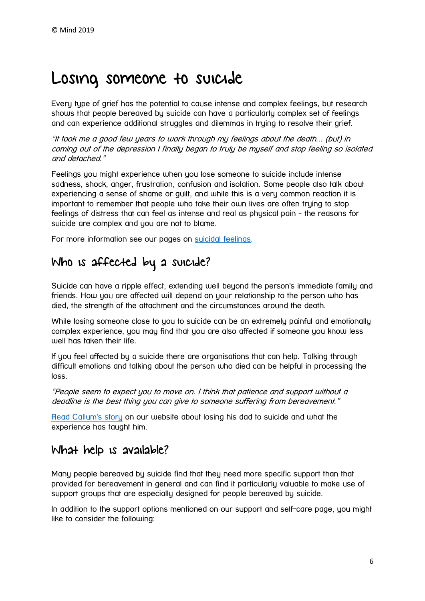# <span id="page-5-0"></span>Losing someone to suicide

Every type of grief has the potential to cause intense and complex feelings, but research shows that people bereaved by suicide can have a particularly complex set of feelings and can experience additional struggles and dilemmas in truing to resolve their grief.

"It took me a good few years to work through my feelings about the death... (but) in coming out of the depression I finally began to truly be myself and stop feeling so isolated and detached."

Feelings you might experience when you lose someone to suicide include intense sadness, shock, anger, frustration, confusion and isolation. Some people also talk about experiencing a sense of shame or guilt, and while this is a very common reaction it is important to remember that people who take their own lives are often trying to stop feelings of distress that can feel as intense and real as physical pain - the reasons for suicide are complex and you are not to blame.

For more information see our pages on [suicidal feelings.](https://www.mind.org.uk/information-support/types-of-mental-health-problems/suicidal-feelings/#.XS3xEehKjIU)

# Who is affected by a suicide?

Suicide can have a ripple effect, extending well beyond the person's immediate family and friends. How you are affected will depend on your relationship to the person who has died, the strength of the attachment and the circumstances around the death.

While losing someone close to you to suicide can be an extremely painful and emotionally complex experience, you may find that you are also affected if someone you know less well has taken their life.

If you feel affected by a suicide there are organisations that can help. Talking through difficult emotions and talking about the person who died can be helpful in processing the loss.

"People seem to expect you to move on. I think that patience and support without a deadline is the best thing you can give to someone suffering from bereavement."

[Read Callum's story](https://www.mind.org.uk/information-support/your-stories/losing-a-parent-to-suicide/#.XS3xfehKjIV) on our website about losing his dad to suicide and what the experience has taught him.

# What help is available?

Many people bereaved by suicide find that they need more specific support than that provided for bereavement in general and can find it particularly valuable to make use of support groups that are especially designed for people bereaved by suicide.

In addition to the support options mentioned on our support and self-care page, you might like to consider the following: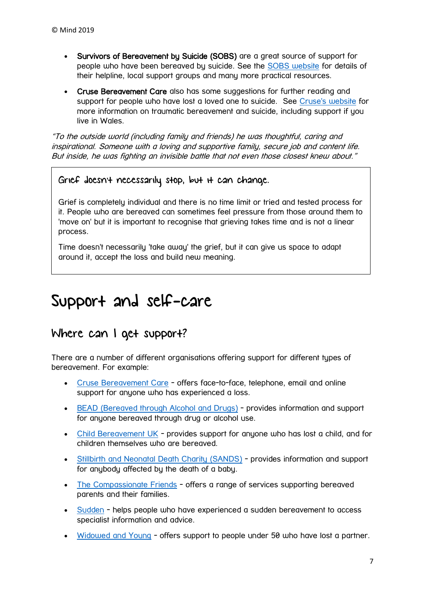- Survivors of Bereavement by Suicide (SOBS) are a great source of support for people who have been bereaved by suicide. See the [SOBS website](https://uksobs.org/) for details of their helpline, local support groups and many more practical resources.
- Cruse Bereavement Care also has some suggestions for further reading and support for people who have lost a loved one to suicide. See [Cruse's website](https://www.cruse.org.uk/get-help/traumatic-bereavement/suicide) for more information on traumatic bereavement and suicide, including support if you live in Wales.

"To the outside world (including family and friends) he was thoughtful, caring and inspirational. Someone with a loving and supportive family, secure job and content life. But inside, he was fighting an invisible battle that not even those closest knew about."

# Grief doesn't necessarily stop, but it can change.

Grief is completely individual and there is no time limit or tried and tested process for it. People who are bereaved can sometimes feel pressure from those around them to 'move on' but it is important to recognise that grieving takes time and is not a linear process.

Time doesn't necessarily 'take away' the grief, but it can give us space to adapt around it, accept the loss and build new meaning.

# <span id="page-6-0"></span>Support and self-care

# Where can I get support?

There are a number of different organisations offering support for different types of bereavement. For example:

- [Cruse Bereavement Care](https://www.cruse.org.uk/get-help) offers face-to-face, telephone, email and online support for anyone who has experienced a loss.
- [BEAD \(Bereaved through Alcohol and Drugs\)](https://www.beadproject.org.uk/) provides information and support for anyone bereaved through drug or alcohol use.
- [Child Bereavement UK](https://childbereavementuk.org/for-families/) provides support for anyone who has lost a child, and for children themselves who are bereaved.
- [Stillbirth and Neonatal Death Charity \(SANDS\)](https://www.sands.org.uk/) provides information and support for anubody affected by the death of a baby.
- [The Compassionate Friends](https://www.tcf.org.uk/) offers a range of services supporting bereaved parents and their families.
- [Sudden](http://www.suddendeath.org/about/about-sudden-death) helps people who have experienced a sudden bereavement to access specialist information and advice.
- [Widowed and Young](https://www.widowedandyoung.org.uk/) offers support to people under 50 who have lost a partner.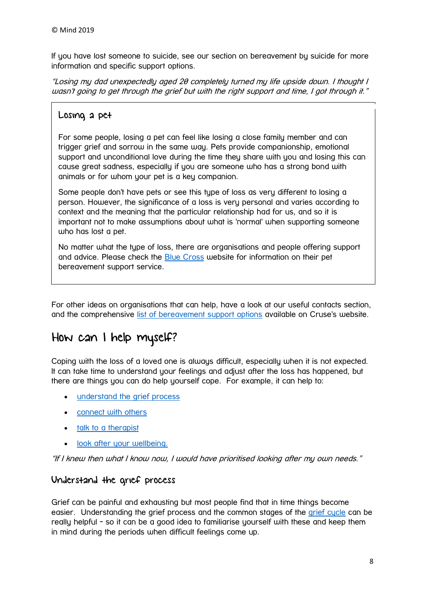If you have lost someone to suicide, see our section on bereavement by suicide for more information and specific support options.

"Losing my dad unexpectedly aged 20 completely turned my life upside down. I thought I wasn't going to get through the grief but with the right support and time, I got through it."

# Losing a pet

For some people, losing a pet can feel like losing a close family member and can trigger grief and sorrow in the same way. Pets provide companionship, emotional support and unconditional love during the time they share with you and losing this can cause great sadness, especially if you are someone who has a strong bond with animals or for whom your pet is a key companion.

Some people don't have pets or see this type of loss as very different to losing a person. However, the significance of a loss is very personal and varies according to context and the meaning that the particular relationship had for us, and so it is important not to make assumptions about what is 'normal' when supporting someone who has lost a pet.

No matter what the type of loss, there are organisations and people offering support and advice. Please check the [Blue Cross](https://www.bluecross.org.uk/pet-bereavement-and-pet-loss) website for information on their pet bereavement support service.

For other ideas on organisations that can help, have a look at our useful contacts section, and the comprehensive [list of bereavement support options](https://www.cruse.org.uk/get-help/useful-links) available on Cruse's website.

# How can I help myself?

Coping with the loss of a loved one is always difficult, especially when it is not expected. It can take time to understand your feelings and adjust after the loss has happened, but there are things you can do help yourself cope. For example, it can help to:

- [understand the grief process](https://www.mind.org.uk/information-support/guides-to-support-and-services/bereavement/support-and-self-care/#UnderstandTheGriefProcess)
- **[connect with others](https://www.mind.org.uk/information-support/guides-to-support-and-services/bereavement/support-and-self-care/#ConnectWithOthers)**
- [talk to a therapist](https://www.mind.org.uk/information-support/guides-to-support-and-services/bereavement/support-and-self-care/#TalkToATherapist)
- [look after your wellbeing.](https://www.mind.org.uk/information-support/guides-to-support-and-services/bereavement/support-and-self-care/#LookAfterYourWellbeing)

"If I knew then what I know now, I would have prioritised looking after my own needs."

# Understand the grief process

Grief can be painful and exhausting but most people find that in time things become easier. Understanding the grief process and the common stages of the grief cucle can be really helpful - so it can be a good idea to familiarise yourself with these and keep them in mind during the periods when difficult feelings come up.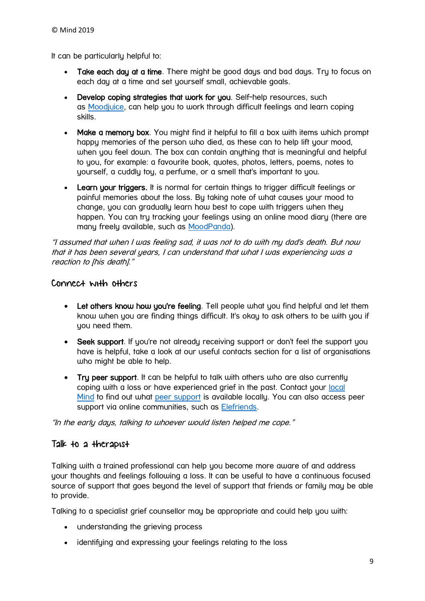It can be particularly helpful to:

- Take each day at a time. There might be good days and bad days. Try to focus on each day at a time and set yourself small, achievable goals.
- Develop coping strategies that work for you. Self-help resources, such as [Moodjuice,](https://www.moodjuice.scot.nhs.uk/) can help you to work through difficult feelings and learn coping skills.
- Make a memory box. You might find it helpful to fill a box with items which prompt happy memories of the person who died, as these can to help lift your mood, when you feel down. The box can contain anything that is meaningful and helpful to you, for example: a favourite book, quotes, photos, letters, poems, notes to yourself, a cuddly toy, a perfume, or a smell that's important to you.
- Learn your triggers. It is normal for certain things to trigger difficult feelings or painful memories about the loss. By taking note of what causes your mood to change, you can gradually learn how best to cope with triggers when they happen. You can try tracking your feelings using an online mood diary (there are many freely available, such as [MoodPanda\)](https://www.moodjuice.scot.nhs.uk/).

"I assumed that when I was feeling sad, it was not to do with my dad's death. But now that it has been several years, I can understand that what I was experiencing was a reaction to lhis deathl."

### Connect with others

- Let others know how you're feeling. Tell people what you find helpful and let them know when you are finding things difficult. It's okay to ask others to be with you if you need them.
- Seek support. If you're not already receiving support or don't feel the support you have is helpful, take a look at our useful contacts section for a list of organisations who might be able to help.
- Try peer support. It can be helpful to talk with others who are also currently coping with a loss or have experienced grief in the past. Contact your [local](https://www.mind.org.uk/information-support/local-minds/)  [Mind](https://www.mind.org.uk/information-support/local-minds/) to find out what [peer support](https://www.mind.org.uk/information-support/drugs-and-treatments/peer-support/#.XS8mhPJKiM8) is available locally. You can also access peer support via online communities, such as [Elefriends.](https://www.elefriends.org.uk/)

"In the early days, talking to whoever would listen helped me cope."

### Talk to a therapist

Talking with a trained professional can help you become more aware of and address your thoughts and feelings following a loss. It can be useful to have a continuous focused source of support that goes beyond the level of support that friends or family may be able to provide.

Talking to a specialist grief counsellor may be appropriate and could help you with:

- understanding the grieving process
- identifying and expressing your feelings relating to the loss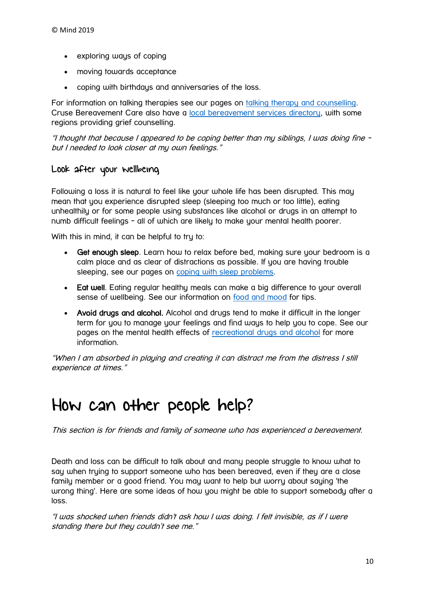- exploring ways of coping
- moving towards acceptance
- coping with birthdays and anniversaries of the loss.

For information on talking therapies see our pages on [talking therapy and counselling.](https://www.mind.org.uk/information-support/drugs-and-treatments/talking-therapy-and-counselling/#.XS8n4fJKiM8) Cruse Bereavement Care also have a [local bereavement services directory,](https://www.cruse.org.uk/get-help/local-services) with some regions providing grief counselling.

"I thought that because I appeared to be coping better than my siblings, I was doing fine but I needed to look closer at my own feelings."

### Look after your wellbeing

Following a loss it is natural to feel like your whole life has been disrupted. This may mean that you experience disrupted sleep (sleeping too much or too little), eating unhealthily or for some people using substances like alcohol or drugs in an attempt to numb difficult feelings - all of which are likely to make your mental health poorer.

With this in mind, it can be helpful to try to:

- Get enough sleep. Learn how to relax before bed, making sure your bedroom is a calm place and as clear of distractions as possible. If you are having trouble sleeping, see our pages on [coping with sleep problems.](https://www.mind.org.uk/information-support/types-of-mental-health-problems/sleep-problems/#.XS8oBvJKiM8)
- Eat well. Eating regular healthy meals can make a big difference to your overall sense of wellbeing. See our information on [food and mood](https://www.mind.org.uk/information-support/tips-for-everyday-living/food-and-mood/#.XS8oG_JKiM8) for tips.
- Avoid drugs and alcohol. Alcohol and drugs tend to make it difficult in the longer term for you to manage your feelings and find ways to help you to cope. See our pages on the mental health effects of [recreational drugs and alcohol](https://www.mind.org.uk/information-support/types-of-mental-health-problems/drugs-recreational-drugs-alcohol/#.XS8oM_JKiM8) for more information.

"When I am absorbed in playing and creating it can distract me from the distress I still experience at times."

# <span id="page-9-0"></span>How can other people help?

This section is for friends and family of someone who has experienced a bereavement.

Death and loss can be difficult to talk about and many people struggle to know what to say when trying to support someone who has been bereaved, even if they are a close family member or a good friend. You may want to help but worry about saying 'the wrong thing'. Here are some ideas of how you might be able to support somebody after a loss.

"I was shocked when friends didn't ask how I was doing. I felt invisible, as if I were standing there but they couldn't see me."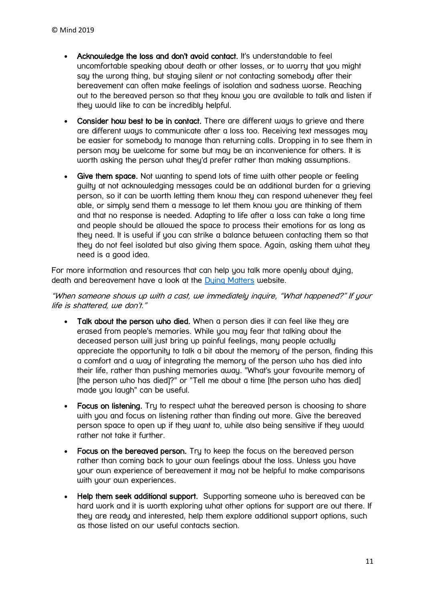- Acknowledge the loss and don't avoid contact. It's understandable to feel uncomfortable speaking about death or other losses, or to worry that you might say the wrong thing, but staying silent or not contacting somebody after their bereavement can often make feelings of isolation and sadness worse. Reaching out to the bereaved person so that they know you are available to talk and listen if they would like to can be incredibly helpful.
- Consider how best to be in contact. There are different ways to grieve and there are different ways to communicate after a loss too. Receiving text messages may be easier for somebody to manage than returning calls. Dropping in to see them in person may be welcome for some but may be an inconvenience for others. It is worth asking the person what they'd prefer rather than making assumptions.
- Give them space. Not wanting to spend lots of time with other people or feeling guilty at not acknowledging messages could be an additional burden for a grieving person, so it can be worth letting them know they can respond whenever they feel able, or simply send them a message to let them know you are thinking of them and that no response is needed. Adapting to life after a loss can take a long time and people should be allowed the space to process their emotions for as long as they need. It is useful if you can strike a balance between contacting them so that they do not feel isolated but also giving them space. Again, asking them what they need is a good idea.

For more information and resources that can help you talk more openly about dying, death and bereavement have a look at the [Dying Matters](https://www.dyingmatters.org/) website.

"When someone shows up with a cast, we immediately inquire, "What happened?" If your life is shattered, we don't."

- Talk about the person who died. When a person dies it can feel like they are erased from people's memories. While you may fear that talking about the deceased person will just bring up painful feelings, many people actually appreciate the opportunity to talk a bit about the memory of the person, finding this a comfort and a way of integrating the memory of the person who has died into their life, rather than pushing memories away. "What's your favourite memory of [the person who has died]?" or "Tell me about a time [the person who has died] made you laugh" can be useful.
- Focus on listening. Try to respect what the bereaved person is choosing to share with you and focus on listening rather than finding out more. Give the bereaved person space to open up if they want to, while also being sensitive if they would rather not take it further.
- Focus on the bereaved person. Try to keep the focus on the bereaved person rather than coming back to your own feelings about the loss. Unless you have your own experience of bereavement it may not be helpful to make comparisons with your own experiences.
- Help them seek additional support. Supporting someone who is bereaved can be hard work and it is worth exploring what other options for support are out there. If they are ready and interested, help them explore additional support options, such as those listed on our useful contacts section.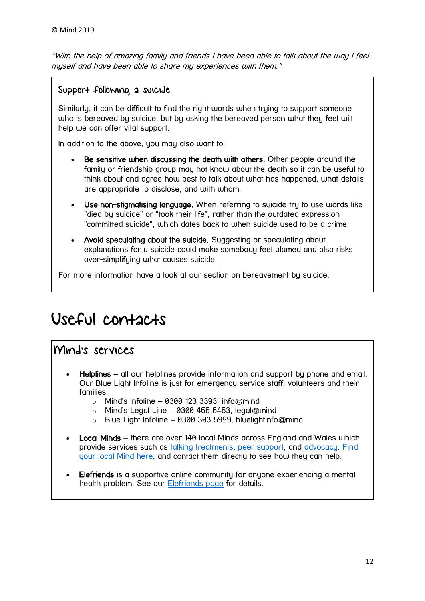"With the help of amazing family and friends I have been able to talk about the way I feel myself and have been able to share my experiences with them."

## Support following a suicide

Similarly, it can be difficult to find the right words when trying to support someone who is bereaved by suicide, but by asking the bereaved person what they feel will help we can offer vital support.

In addition to the above, you may also want to:

- Be sensitive when discussing the death with others. Other people around the family or friendship group may not know about the death so it can be useful to think about and agree how best to talk about what has happened, what details are appropriate to disclose, and with whom.
- Use non-stigmatising language. When referring to suicide try to use words like "died by suicide" or "took their life", rather than the outdated expression "committed suicide", which dates back to when suicide used to be a crime.
- Avoid speculating about the suicide. Suggesting or speculating about explanations for a suicide could make somebody feel blamed and also risks over-simplifying what causes suicide.

For more information have a look at our section on bereavement by suicide.

# <span id="page-11-0"></span>Useful contacts

# Mind's services

- Helplines all our helplines provide information and support by phone and email. Our Blue Light Infoline is just for emergency service staff, volunteers and their families.
	- $\circ$  Mind's Infoline 0300 123 3393, info@mind
	- $\circ$  Mind's Legal Line 0300 466 6463, legal@mind
	- o Blue Light Infoline 0300 303 5999, bluelightinfo@mind
- Local Minds there are over 140 local Minds across England and Wales which provide services such as [talking treatments,](https://www.mind.org.uk/information-support/drugs-and-treatments/talking-treatments/) [peer support,](https://www.mind.org.uk/information-support/drugs-and-treatments/peer-support/) and [advocacy.](https://www.mind.org.uk/information-support/guides-to-support-and-services/advocacy/) [Find](https://www.mind.org.uk/information-support/local-minds/)  [your local Mind here,](https://www.mind.org.uk/information-support/local-minds/) and contact them directly to see how they can help.
- Elefriends is a supportive online community for anyone experiencing a mental health problem. See our **Elefriends page** for details.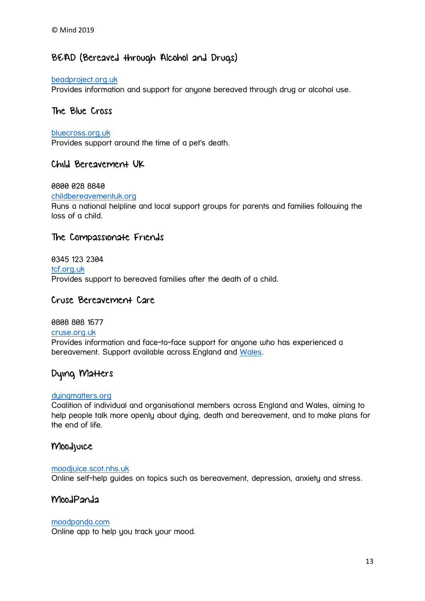# BEAD (Bereaved through Alcohol and Drugs)

#### [beadproject.org.uk](https://www.beadproject.org.uk/)

Provides information and support for anyone bereaved through drug or alcohol use.

#### The Blue Cross

#### [bluecross.org.uk](https://www.bluecross.org.uk/pet-bereavement-and-pet-loss)

Provides support around the time of a pet's death.

### Child Bereavement UK

#### 0800 028 8840

#### [childbereavementuk.org](https://childbereavementuk.org/)

Runs a national helpline and local support groups for parents and families following the loss of a child.

#### The Compassionate Friends

### 0345 123 2304 [tcf.org.uk](https://www.tcf.org.uk/) Provides support to bereaved families after the death of a child.

### Cruse Bereavement Care

#### 0808 808 1677

#### [cruse.org.uk](http://www.cruse.org.uk/)

Provides information and face-to-face support for anyone who has experienced a bereavement. Support available across England and [Wales.](https://www.cruse.org.uk/get-help/local-services/wales/wales)

## Dying Matters

#### [dyingmatters.org](https://www.dyingmatters.org/)

Coalition of individual and organisational members across England and Wales, aiming to help people talk more openly about dying, death and bereavement, and to make plans for the end of life.

### Moodjuice

#### [moodjuice.scot.nhs.uk](http://www.moodjuice.scot.nhs.uk/)

Online self-help guides on topics such as bereavement, depression, anxiety and stress.

#### MoodPanda

#### [moodpanda.com](http://moodpanda.com/)

Online app to help you track your mood.